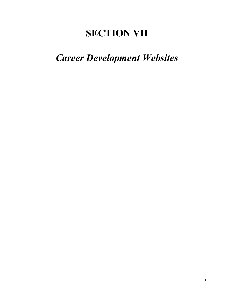# **SECTION VII**

# *Career Development Websites*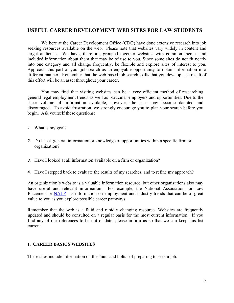# **USEFUL CAREER DEVELOPMENT WEB SITES FOR LAW STUDENTS**

We here at the Career Development Office (CDO) have done extensive research into job seeking resources available on the web. Please note that websites vary widely in content and target audience. We have, therefore, grouped together websites with common themes and included information about them that may be of use to you. Since some sites do not fit neatly into one category and all change frequently, be flexible and explore sites of interest to you. Approach this part of your job search as an enjoyable opportunity to obtain information in a different manner. Remember that the web-based job search skills that you develop as a result of this effort will be an asset throughout your career.

You may find that visiting websites can be a very efficient method of researching general legal employment trends as well as particular employers and opportunities. Due to the sheer volume of information available, however, the user may become daunted and discouraged. To avoid frustration, we strongly encourage you to plan your search before you begin. Ask yourself these questions:

- *1.* What is my goal?
- *2.* Do I seek general information or knowledge of opportunities within a specific firm or organization?
- *3.* Have I looked at all information available on a firm or organization?
- *4.* Have I stepped back to evaluate the results of my searches, and to refine my approach?

An organization's website is a valuable information resource, but other organizations also may have useful and relevant information. For example, the National Association for Law Placement or NALP has information on employment and industry trends that can be of great value to you as you explore possible career pathways.

Remember that the web is a fluid and rapidly changing resource. Websites are frequently updated and should be consulted on a regular basis for the most current information. If you find any of our references to be out of date, please inform us so that we can keep this list current.

## **1. CAREER BASICS WEBSITES**

These sites include information on the "nuts and bolts" of preparing to seek a job.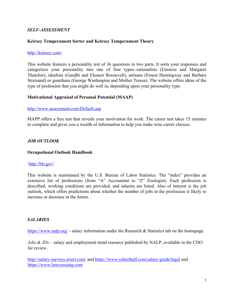## *SELF-ASSESSMENT*

## **Keirsey Temperament Sorter and Keirsey Temperament Theory**

#### http://keirsey.com/

This website features a personality test of 36 questions in two parts. It sorts your responses and categorizes your personality into one of four types--rationalists (Einstein and Margaret Thatcher), idealists (Gandhi and Eleanor Roosevelt), artisans (Ernest Hemingway and Barbara Streisand) or guardians (George Washington and Mother Teresa). The website offers ideas of the type of profession that you might do well in, depending upon your personality type.

### **Motivational Appraisal of Personal Potential (MAAP)**

#### http://www.assessment.com/Default.asp

MAPP offers a free test that reveals your motivation for work. The career test takes 15 minutes to complete and gives you a wealth of information to help you make wise career choices.

## *JOB OUTLOOK*

#### **Occupational Outlook Handbook**

### http://bls.gov/

This website is maintained by the U.S. Bureau of Labor Statistics. The "index" provides an extensive list of professions (from "A" Accountant to "Z" Zoologist). Each profession is described, working conditions are provided, and salaries are listed. Also of interest is the job outlook, which offers predictions about whether the number of jobs in the profession is likely to increase or decrease in the future.

### *SALARIES*

https://www.nalp.org/ - salary information under the Research & Statistics tab on the homepage.

*Jobs & JDs –* salary and employment trend resource published by NALP, available in the CDO for review.

http://salary-surveys.erieri.com/ and https://www.roberthalf.com/salary-guide/legal and https://www.lawcrossing.com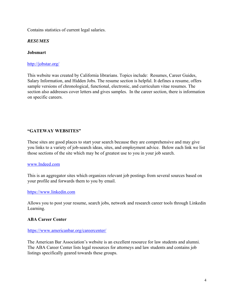Contains statistics of current legal salaries.

# *RESUMES*

# **Jobsmart**

# http://jobstar.org/

This website was created by California librarians. Topics include: Resumes, Career Guides, Salary Information, and Hidden Jobs. The resume section is helpful. It defines a resume, offers sample versions of chronological, functional, electronic, and curriculum vitae resumes. The section also addresses cover letters and gives samples. In the career section, there is information on specific careers.

# **"GATEWAY WEBSITES"**

These sites are good places to start your search because they are comprehensive and may give you links to a variety of job-search ideas, sites, and employment advice. Below each link we list those sections of the site which may be of greatest use to you in your job search.

## www.Indeed.com

This is an aggregator sites which organizes relevant job postings from several sources based on your profile and forwards them to you by email.

## https://www.linkedin.com

Allows you to post your resume, search jobs, network and research career tools through Linkedin Learning.

## **ABA Career Center**

## https://www.americanbar.org/careercenter/

The American Bar Association's website is an excellent resource for law students and alumni. The ABA Career Center lists legal resources for attorneys and law students and contains job listings specifically geared towards these groups.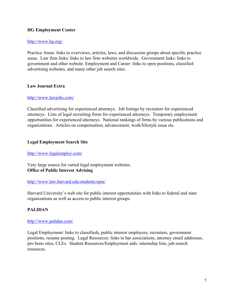## **HG Employment Center**

## http://www.hg.org/

Practice Areas: links to overviews, articles, laws, and discussion groups about specific practice areas. Law firm links: links to law firm websites worldwide. Government links: links to government and other website. Employment and Career: links to open positions, classified advertising websites, and many other job search sites.

## **Law Journal Extra**

### http://www.lawjobs.com/

Classified advertising for experienced attorneys. Job listings by recruiters for experienced attorneys. Lists of legal recruiting firms for experienced attorneys. Temporary employment opportunities for experienced attorneys. National rankings of firms by various publications and organizations. Articles on compensation, advancement, work/lifestyle issue etc.

## **Legal Employment Search Site**

## http://www.legalemploy.com/

Very large source for varied legal employment websites. **Office of Public Interest Advising** 

## http://www.law.harvard.edu/students/opia/

Harvard University's web site for public interest opportunities with links to federal and state organizations as well as access to public interest groups.

## **PALIDAN**

### http://www.palidan.com/

Legal Employment: links to classifieds, public interest employers, recruiters, government positions, resume posting. Legal Resources: links to bar associations, attorney email addresses, pro bono sites, CLEs. Student Resources/Employment aids: internship lists, job-search resources.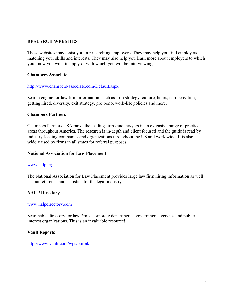## **RESEARCH WEBSITES**

These websites may assist you in researching employers. They may help you find employers matching your skills and interests. They may also help you learn more about employers to which you know you want to apply or with which you will be interviewing.

#### **Chambers Associate**

#### http://www.chambers-associate.com/Default.aspx

Search engine for law firm information, such as firm strategy, culture, hours, compensation, getting hired, diversity, exit strategy, pro bono, work-life policies and more.

#### **Chambers Partners**

Chambers Partners USA ranks the leading firms and lawyers in an extensive range of practice areas throughout America. The research is in-depth and client focused and the guide is read by industry-leading companies and organizations throughout the US and worldwide. It is also widely used by firms in all states for referral purposes.

#### **National Association for Law Placement**

#### www.nalp.org

The National Association for Law Placement provides large law firm hiring information as well as market trends and statistics for the legal industry.

### **NALP Directory**

#### www.nalpdirectory.com

Searchable directory for law firms, corporate departments, government agencies and public interest organizations. This is an invaluable resource!

#### **Vault Reports**

http://www.vault.com/wps/portal/usa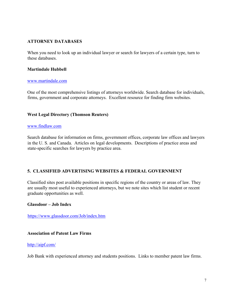# **ATTORNEY DATABASES**

When you need to look up an individual lawyer or search for lawyers of a certain type, turn to these databases.

## **Martindale Hubbell**

#### www.martindale.com

One of the most comprehensive listings of attorneys worldwide. Search database for individuals, firms, government and corporate attorneys. Excellent resource for finding firm websites.

## **West Legal Directory (Thomson Reuters)**

### www.findlaw.com

Search database for information on firms, government offices, corporate law offices and lawyers in the U. S. and Canada. Articles on legal developments. Descriptions of practice areas and state-specific searches for lawyers by practice area.

## **5. CLASSIFIED ADVERTISING WEBSITES & FEDERAL GOVERNMENT**

Classified sites post available positions in specific regions of the country or areas of law. They are usually most useful to experienced attorneys, but we note sites which list student or recent graduate opportunities as well.

### **Glassdoor – Job Index**

https://www.glassdoor.com/Job/index.htm

### **Association of Patent Law Firms**

### http://aipf.com/

Job Bank with experienced attorney and students positions. Links to member patent law firms.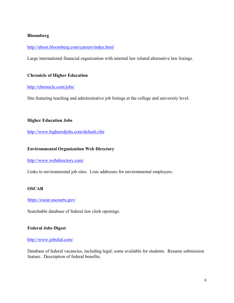## **Bloomberg**

### http://about.bloomberg.com/careers/index.html

Large international financial organization with internal law related alternative law listings.

## **Chronicle of Higher Education**

### http://chronicle.com/jobs/

Site featuring teaching and administrative job listings at the college and university level.

## **Higher Education Jobs**

http://www.higheredjobs.com/default.cfm

### **Environmental Organization Web Directory**

http://www.webdirectory.com/

Links to environmental job sites. Lists addresses for environmental employers.

## **OSCAR**

### https://oscar.uscourts.gov/

Searchable database of federal law clerk openings.

### **Federal Jobs Digest**

### http://www.jobsfed.com/

Database of federal vacancies, including legal; some available for students. Resume submission feature. Description of federal benefits.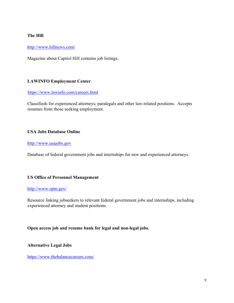## **The Hill**

http://www.hillnews.com/

Magazine about Capitol Hill contains job listings.

# **LAWINFO Employment Center**

## https://www.lawinfo.com/careers.html

Classifieds for experienced attorneys, paralegals and other law-related positions. Accepts resumes from those seeking employment.

## **USA Jobs Database Online**

## http://www.usajobs.gov

Database of federal government jobs and internships for new and experienced attorneys.

## **US Office of Personnel Management**

## http://www.opm.gov/

Resource linking jobseekers to relevant federal government jobs and internships, including experienced attorney and student positions.

## **Open access job and resume bank for legal and non-legal jobs.**

**Alternative Legal Jobs** 

https://www.thebalancecareers.com/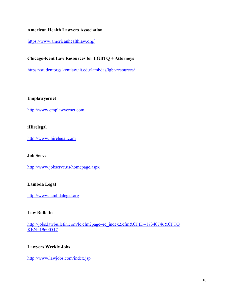## **American Health Lawyers Association**

https://www.americanhealthlaw.org/

# **Chicago-Kent Law Resources for LGBTQ + Attorneys**

https://studentorgs.kentlaw.iit.edu/lambdas/lgbt-resources/

## **Emplawyernet**

http://www.emplawyernet.com

## **iHirelegal**

http://www.ihirelegal.com

### **Job Serve**

http://www.jobserve.us/homepage.aspx

## **Lambda Legal**

http://www.lambdalegal.org

## **Law Bulletin**

http://jobs.lawbulletin.com/lc.cfm?page=rc\_index2.cfm&CFID=17340746&CFTO KEN=19600517

## **Lawyers Weekly Jobs**

http://www.lawjobs.com/index.jsp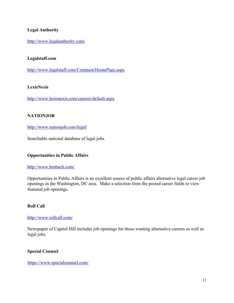# **Legal Authority**

http://www.legalauthority.com/

## **Legalstaff.com**

http://www.legalstaff.com/Common/HomePage.aspx

## **LexisNexis**

http://www.lexisnexis.com/careers/default.aspx

# **NATIONJOB**

http://www.nationjob.com/legal/

Searchable national database of legal jobs.

## **Opportunities in Public Affairs**

## http://www.brubach.com/

Opportunities in Public Affairs is an excellent source of public affairs alternative legal career job openings in the Washington, DC area. Make a selection from the posted career fields to view featured job openings.

## **Roll Call**

http://www.rollcall.com/

Newspaper of Capitol Hill includes job openings for those wanting alternative careers as well as legal jobs.

## **Special Counsel**

https://www.specialcounsel.com/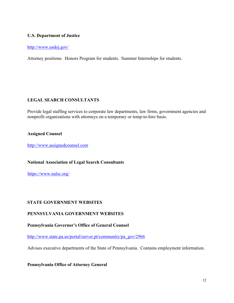## **U.S. Department of Justice**

#### http://www.usdoj.gov/

Attorney positions. Honors Program for students. Summer Internships for students.

## **LEGAL SEARCH CONSULTANTS**

Provide legal staffing services to corporate law departments, law firms, government agencies and nonprofit organizations with attorneys on a temporary or temp-to-hire basis.

### **Assigned Counsel**

http://www.assignedcounsel.com

### **National Association of Legal Search Consultants**

https://www.nalsc.org/

### **STATE GOVERNMENT WEBSITES**

## **PENNSYLVANIA GOVERNMENT WEBSITES**

### **Pennsylvania Governor's Office of General Counsel**

http://www.state.pa.us/portal/server.pt/community/pa\_gov/2966

Advises executive departments of the State of Pennsylvania. Contains employment information.

### **Pennsylvania Office of Attorney General**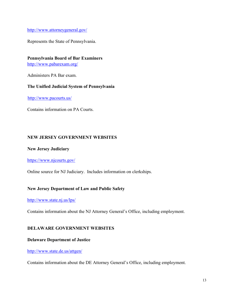http://www.attorneygeneral.gov/

Represents the State of Pennsylvania.

**Pennsylvania Board of Bar Examiners**

http://www.pabarexam.org/

Administers PA Bar exam.

## **The Unified Judicial System of Pennsylvania**

http://www.pacourts.us/

Contains information on PA Courts.

# **NEW JERSEY GOVERNMENT WEBSITES**

## **New Jersey Judiciary**

https://www.njcourts.gov/

Online source for NJ Judiciary. Includes information on clerkships.

## **New Jersey Department of Law and Public Safety**

http://www.state.nj.us/lps/

Contains information about the NJ Attorney General's Office, including employment.

## **DELAWARE GOVERNMENT WEBSITES**

## **Delaware Department of Justice**

### http://www.state.de.us/attgen/

Contains information about the DE Attorney General's Office, including employment.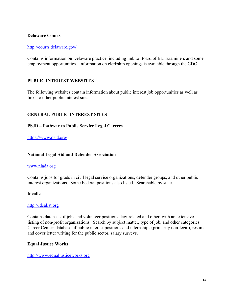## **Delaware Courts**

#### http://courts.delaware.gov/

Contains information on Delaware practice, including link to Board of Bar Examiners and some employment opportunities. Information on clerkship openings is available through the CDO.

## **PUBLIC INTEREST WEBSITES**

The following websites contain information about public interest job opportunities as well as links to other public interest sites.

## **GENERAL PUBLIC INTEREST SITES**

### **PSJD – Pathway to Public Service Legal Careers**

https://www.psjd.org/

### **National Legal Aid and Defender Association**

#### www.nlada.org

Contains jobs for grads in civil legal service organizations, defender groups, and other public interest organizations. Some Federal positions also listed. Searchable by state.

#### **Idealist**

#### http://idealist.org

Contains database of jobs and volunteer positions, law-related and other, with an extensive listing of non-profit organizations. Search by subject matter, type of job, and other categories. Career Center: database of public interest positions and internships (primarily non-legal), resume and cover letter writing for the public sector, salary surveys.

#### **Equal Justice Works**

http://www.equaljusticeworks.org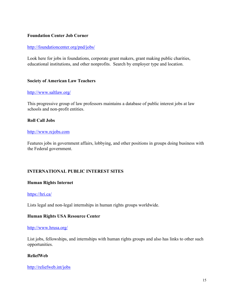## **Foundation Center Job Corner**

## http://foundationcenter.org/pnd/jobs/

Look here for jobs in foundations, corporate grant makers, grant making public charities, educational institutions, and other nonprofits. Search by employer type and location.

## **Society of American Law Teachers**

### http://www.saltlaw.org/

This progressive group of law professors maintains a database of public interest jobs at law schools and non-profit entities.

## **Roll Call Jobs**

### http://www.rcjobs.com

Features jobs in government affairs, lobbying, and other positions in groups doing business with the Federal government.

## **INTERNATIONAL PUBLIC INTEREST SITES**

### **Human Rights Internet**

### https://hri.ca/

Lists legal and non-legal internships in human rights groups worldwide.

### **Human Rights USA Resource Center**

### http://www.hrusa.org/

List jobs, fellowships, and internships with human rights groups and also has links to other such opportunities.

### **ReliefWeb**

### http://reliefweb.int/jobs